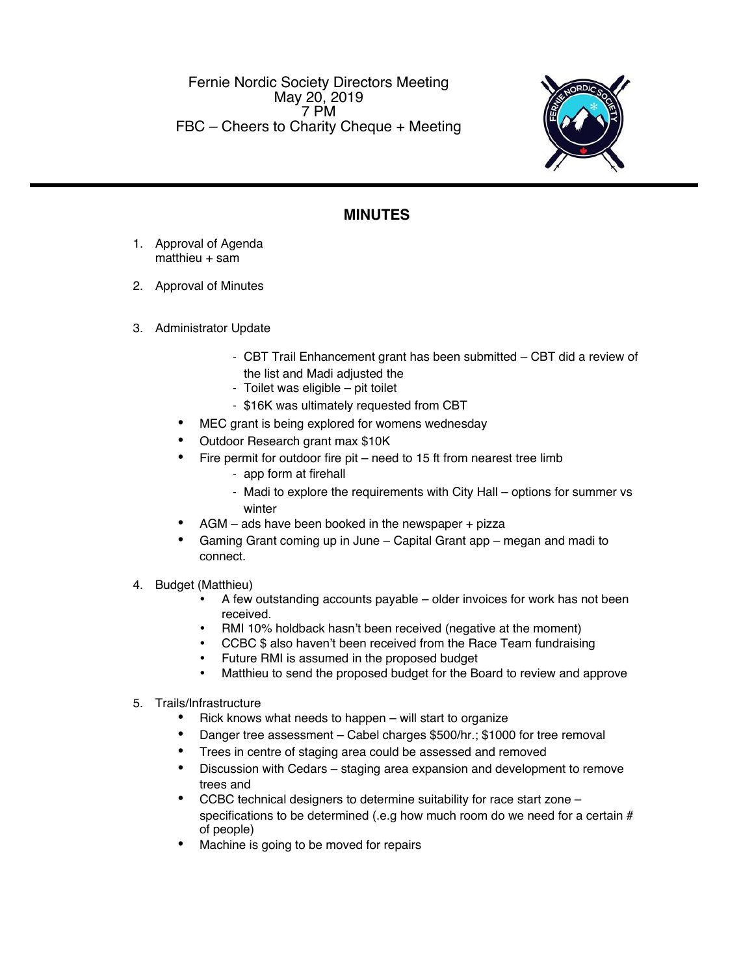Fernie Nordic Society Directors Meeting May 20, 2019 7 PM FBC – Cheers to Charity Cheque + Meeting



## **MINUTES**

- 1. Approval of Agenda matthieu + sam
- 2. Approval of Minutes
- 3. Administrator Update
	- CBT Trail Enhancement grant has been submitted CBT did a review of the list and Madi adjusted the
	- Toilet was eligible pit toilet
	- \$16K was ultimately requested from CBT
	- MEC grant is being explored for womens wednesday
	- Outdoor Research grant max \$10K
	- $\bullet$  Fire permit for outdoor fire pit need to 15 ft from nearest tree limb
		- app form at firehall
		- Madi to explore the requirements with City Hall options for summer vs winter
	- AGM ads have been booked in the newspaper + pizza
	- Gaming Grant coming up in June Capital Grant app megan and madi to connect.
- 4. Budget (Matthieu)
	- A few outstanding accounts payable older invoices for work has not been received.
	- RMI 10% holdback hasn't been received (negative at the moment)
	- CCBC \$ also haven't been received from the Race Team fundraising
	- Future RMI is assumed in the proposed budget
	- Matthieu to send the proposed budget for the Board to review and approve
- 5. Trails/Infrastructure
	- $\bullet$  Rick knows what needs to happen will start to organize
	- Danger tree assessment Cabel charges \$500/hr.; \$1000 for tree removal
	- Trees in centre of staging area could be assessed and removed
	- Discussion with Cedars staging area expansion and development to remove trees and
	- CCBC technical designers to determine suitability for race start zone specifications to be determined (.e.g how much room do we need for a certain  $#$ of people)
	- Machine is going to be moved for repairs